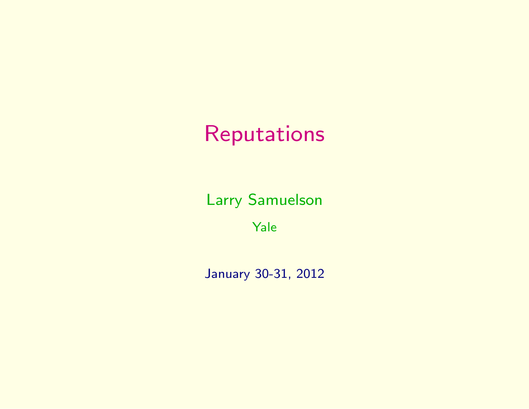# Reputations

Larry Samuelson

Yale

January 30-31, 2012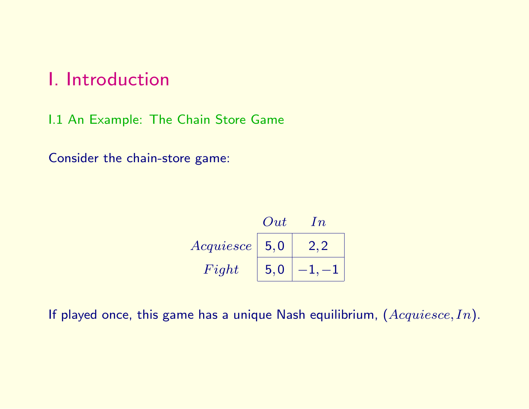## I. Introduction

I.1 An Example: The Chain Store Game

Consider the chain-store game:

|           | Out | $\ln$ |
|-----------|-----|-------|
| Acquiesce | 5.0 |       |
| Fight     | 5.0 |       |

If played once, this game has a unique Nash equilibrium,  $(Acquiesce, In)$ .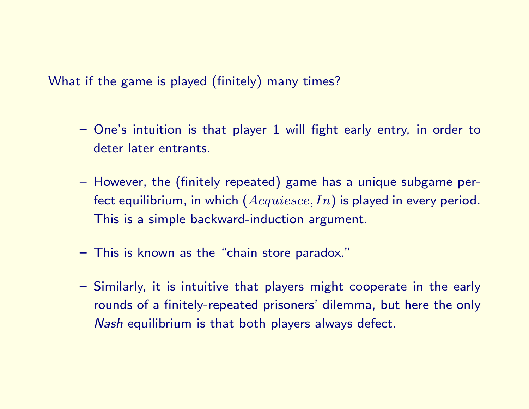What if the game is played (finitely) many times?

- One's intuition is that player 1 will fight early entry, in order to deter later entrants.
- However, the (finitely repeated) game has a unique subgame perfect equilibrium, in which  $(Acquiesce, In)$  is played in every period. This is a simple backward-induction argument.
- This is known as the "chain store paradox."
- Similarly, it is intuitive that players might cooperate in the early rounds of a finitely-repeated prisoners' dilemma, but here the only Nash equilibrium is that both players always defect.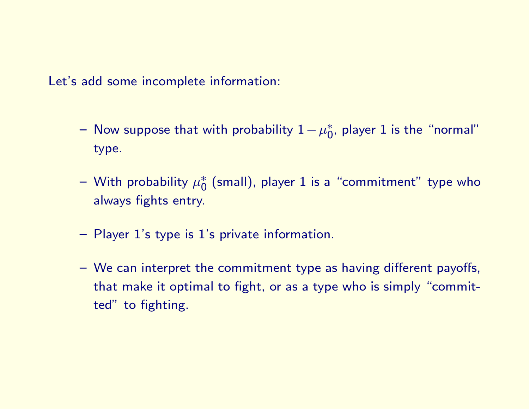Let's add some incomplete information:

- $-$  Now suppose that with probability  $1-\mu_\mathsf{O}^*$  $_0^*$ , player 1 is the "normal" type.
- $-$  With probability  $\mu_0^*$  $_0^{*}$  (small), player  $1$  is a "commitment" type who always fights entry.
- Player 1's type is 1's private information.
- We can interpret the commitment type as having different payoffs, that make it optimal to fight, or as a type who is simply "committed" to fighting.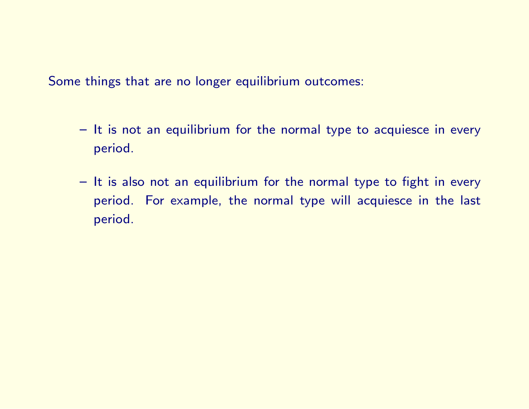Some things that are no longer equilibrium outcomes:

- It is not an equilibrium for the normal type to acquiesce in every period.
- It is also not an equilibrium for the normal type to fight in every period. For example, the normal type will acquiesce in the last period.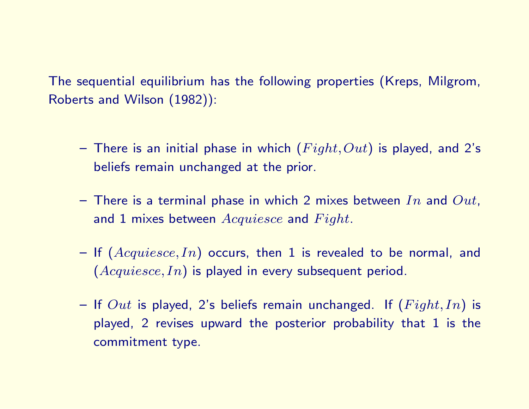The sequential equilibrium has the following properties (Kreps, Milgrom, Roberts and Wilson (1982)):

- There is an initial phase in which  $(Fight, Out)$  is played, and 2's beliefs remain unchanged at the prior.
- There is a terminal phase in which 2 mixes between In and  $Out$ , and 1 mixes between  $Acquiesce$  and  $Fight$ .
- If  $(Acquiesce, In)$  occurs, then 1 is revealed to be normal, and  $(Acquiesce, In)$  is played in every subsequent period.
- If  $Out$  is played, 2's beliefs remain unchanged. If  $(Fight, In)$  is played, 2 revises upward the posterior probability that 1 is the commitment type.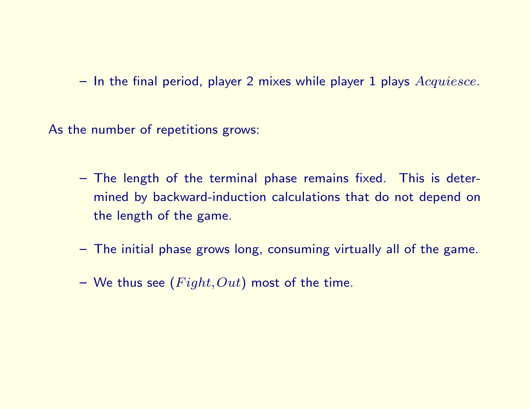$-$  In the final period, player 2 mixes while player 1 plays  $Acquiesce$ .

As the number of repetitions grows:

- The length of the terminal phase remains fixed. This is determined by backward-induction calculations that do not depend on the length of the game.
- The initial phase grows long, consuming virtually all of the game.
- We thus see  $(Fight,Out)$  most of the time.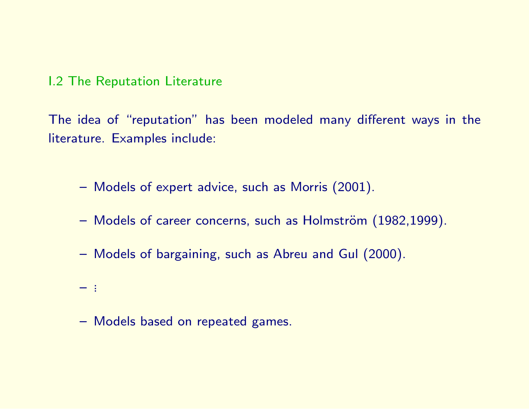### I.2 The Reputation Literature

The idea of "reputation" has been modeled many different ways in the literature. Examples include:

- Models of expert advice, such as Morris (2001).
- Models of career concerns, such as Holmström (1982,1999).
- Models of bargaining, such as Abreu and Gul (2000).
- ...
- Models based on repeated games.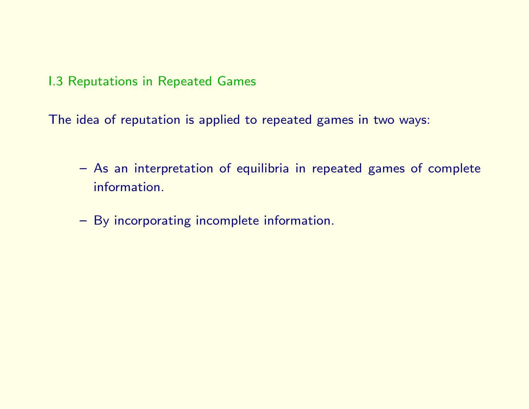I.3 Reputations in Repeated Games

The idea of reputation is applied to repeated games in two ways:

- As an interpretation of equilibria in repeated games of complete information.
- By incorporating incomplete information.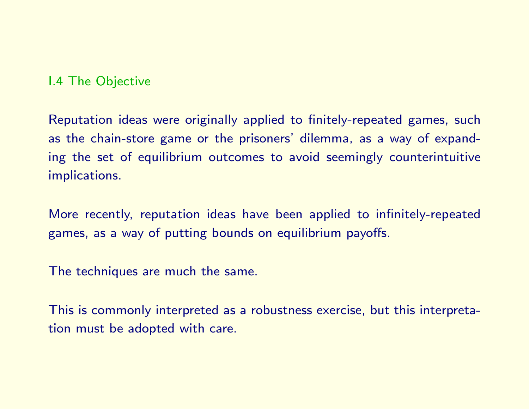## I.4 The Objective

Reputation ideas were originally applied to finitely-repeated games, such as the chain-store game or the prisoners' dilemma, as a way of expanding the set of equilibrium outcomes to avoid seemingly counterintuitive implications.

More recently, reputation ideas have been applied to infinitely-repeated games, as a way of putting bounds on equilibrium payoffs.

The techniques are much the same.

This is commonly interpreted as a robustness exercise, but this interpretation must be adopted with care.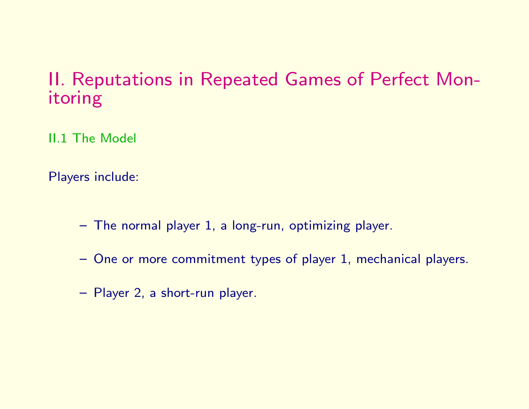## II. Reputations in Repeated Games of Perfect Monitoring

II.1 The Model

Players include:

- The normal player 1, a long-run, optimizing player.
- One or more commitment types of player 1, mechanical players.
- Player 2, a short-run player.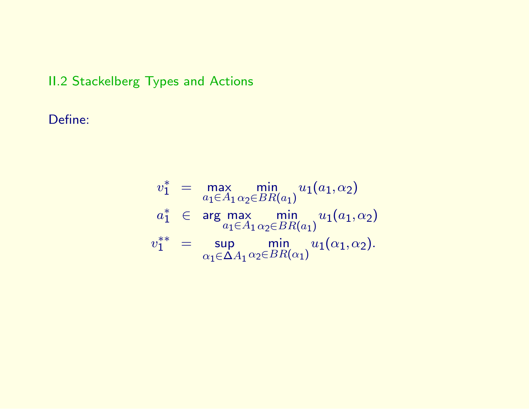## II.2 Stackelberg Types and Actions

Define:

$$
v_1^* = \max_{a_1 \in A_1} \min_{\alpha_2 \in BR(a_1)} u_1(a_1, \alpha_2)
$$
  
\n
$$
a_1^* \in \arg \max_{a_1 \in A_1} \min_{\alpha_2 \in BR(a_1)} u_1(a_1, \alpha_2)
$$
  
\n
$$
v_1^{**} = \sup_{\alpha_1 \in \Delta A_1} \min_{\alpha_2 \in BR(\alpha_1)} u_1(\alpha_1, \alpha_2).
$$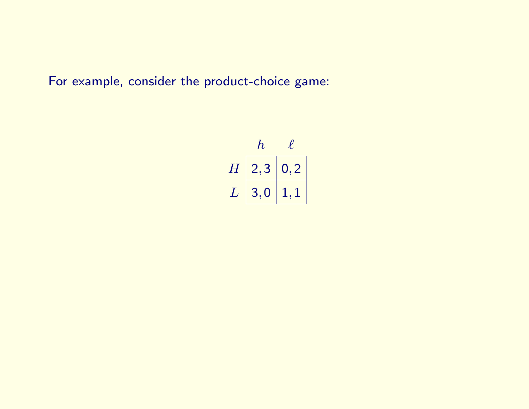For example, consider the product-choice game:

$$
\begin{array}{c|cc}\n & h & \ell \\
\hline\nH & 2,3 & 0,2 \\
L & 3,0 & 1,1\n\end{array}
$$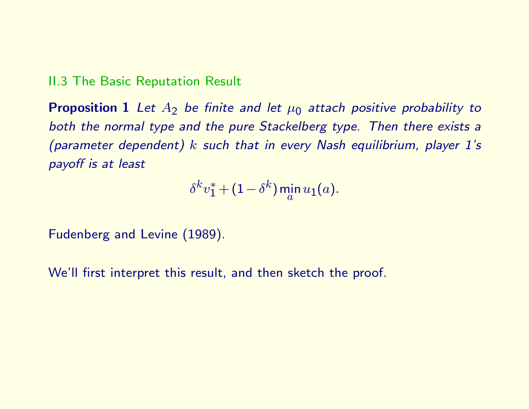### II.3 The Basic Reputation Result

**Proposition 1** Let  $A_2$  be finite and let  $\mu_0$  attach positive probability to both the normal type and the pure Stackelberg type. Then there exists a (parameter dependent)  $k$  such that in every Nash equilibrium, player 1's payoff is at least

$$
\delta^kv_1^* + (1-\delta^k)\min_a u_1(a).
$$

Fudenberg and Levine (1989).

We'll first interpret this result, and then sketch the proof.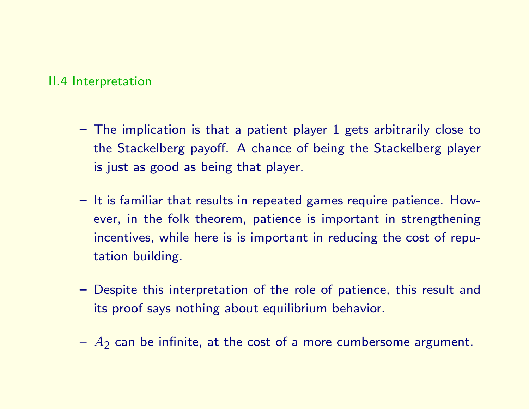### II.4 Interpretation

- The implication is that a patient player 1 gets arbitrarily close to the Stackelberg payoff. A chance of being the Stackelberg player is just as good as being that player.
- It is familiar that results in repeated games require patience. However, in the folk theorem, patience is important in strengthening incentives, while here is is important in reducing the cost of reputation building.
- Despite this interpretation of the role of patience, this result and its proof says nothing about equilibrium behavior.
- $-A<sub>2</sub>$  can be infinite, at the cost of a more cumbersome argument.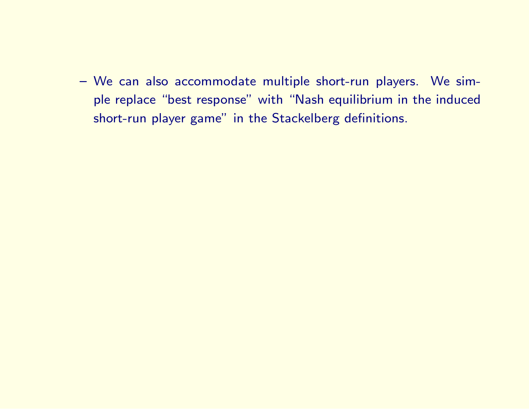– We can also accommodate multiple short-run players. We simple replace "best response" with "Nash equilibrium in the induced short-run player game" in the Stackelberg definitions.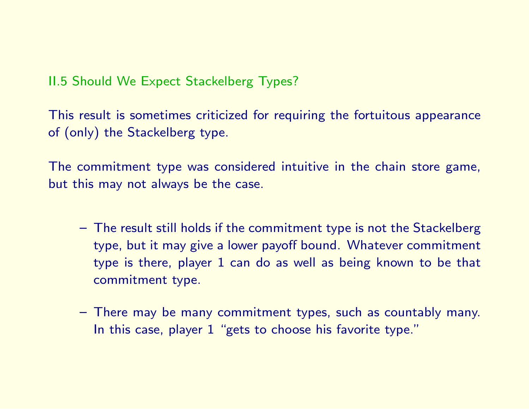II.5 Should We Expect Stackelberg Types?

This result is sometimes criticized for requiring the fortuitous appearance of (only) the Stackelberg type.

The commitment type was considered intuitive in the chain store game, but this may not always be the case.

- The result still holds if the commitment type is not the Stackelberg type, but it may give a lower payoff bound. Whatever commitment type is there, player 1 can do as well as being known to be that commitment type.
- There may be many commitment types, such as countably many. In this case, player 1 "gets to choose his favorite type."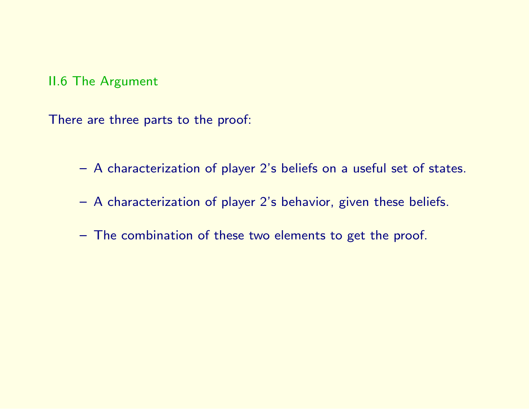## II.6 The Argument

There are three parts to the proof:

- A characterization of player 2's beliefs on a useful set of states.
- A characterization of player 2's behavior, given these beliefs.
- The combination of these two elements to get the proof.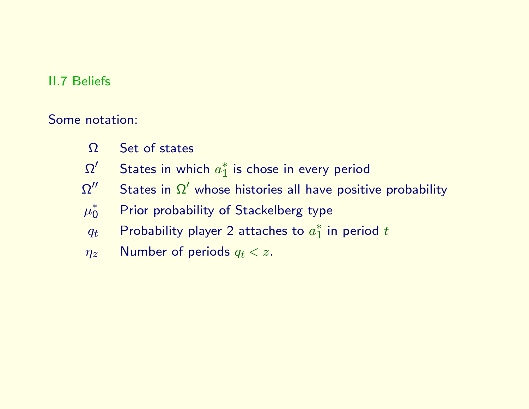## II.7 Beliefs

Some notation:

- Ω Set of states
- $\Omega'$  $\frac{1}{2}$  States in which  $a_1^*$  $_1^*$  is chose in every period
- $\Omega''$  $^{\prime\prime}$  States in  $\Omega^{\prime}$  whose histories all have positive probability
- $\mu_0^*$ Prior probability of Stackelberg type
- $q_t$  Probability player 2 attaches to  $a_1^*$  $_1^{*}$  in period  $t$
- $\eta_z$  Number of periods  $q_t < z$ .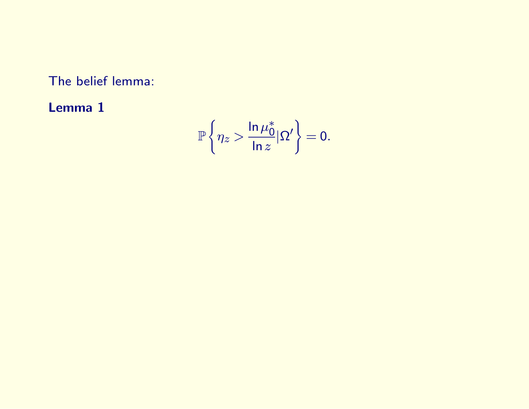The belief lemma:

Lemma 1

$$
\mathbb{P}\left\{\eta_z > \frac{\ln \mu_0^*}{\ln z}|\Omega'\right\} = 0.
$$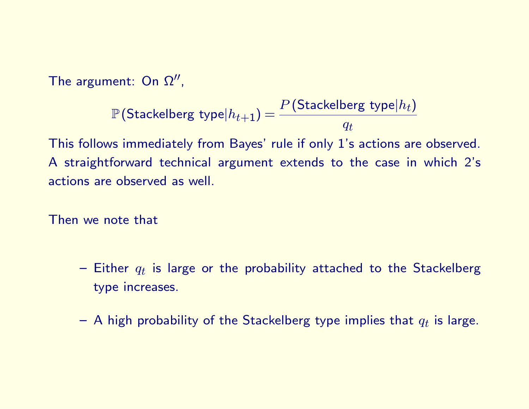The argument: On  $\Omega''$ ,

$$
\mathbb{P}\left(\textsf{Stackelberg type}|h_{t+1}\right) = \frac{P\left(\textsf{Stackelberg type}|h_t\right)}{q_t}
$$

This follows immediately from Bayes' rule if only 1's actions are observed. A straightforward technical argument extends to the case in which 2's actions are observed as well.

Then we note that

- $-$  Either  $q_t$  is large or the probability attached to the Stackelberg type increases.
- $-$  A high probability of the Stackelberg type implies that  $q_t$  is large.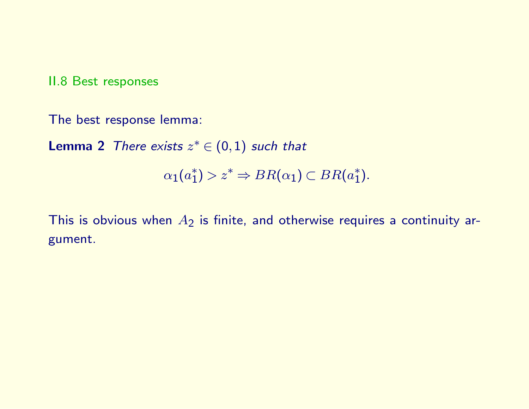II.8 Best responses

The best response lemma:

**Lemma 2** There exists  $z^* \in (0,1)$  such that

$$
\alpha_1(a_1^*) > z^* \Rightarrow BR(\alpha_1) \subset BR(a_1^*).
$$

This is obvious when  $A_2$  is finite, and otherwise requires a continuity argument.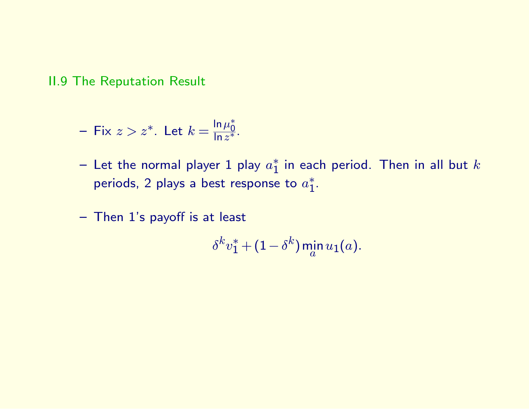II.9 The Reputation Result

- Fix 
$$
z > z^*
$$
. Let  $k = \frac{\ln \mu_0^*}{\ln z^*}$ .

- $-$  Let the normal player 1 play  $a_1^*$  $_1^{*}$  in each period. Then in all but  $k$ periods, 2 plays a best response to  $a_1^*$  $\overline{1}$ .
- Then 1's payoff is at least

$$
\delta^k v_1^* + (1 - \delta^k) \min_a u_1(a).
$$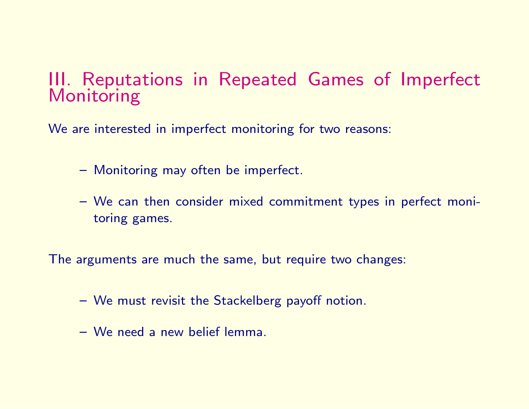## III. Reputations in Repeated Games of Imperfect Monitoring

We are interested in imperfect monitoring for two reasons:

- Monitoring may often be imperfect.
- We can then consider mixed commitment types in perfect monitoring games.

The arguments are much the same, but require two changes:

- We must revisit the Stackelberg payoff notion.
- We need a new belief lemma.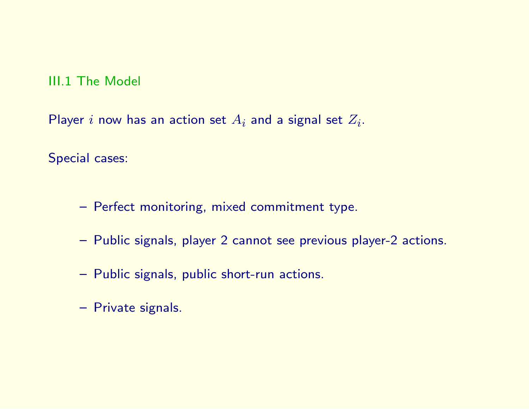### III.1 The Model

Player  $i$  now has an action set  $A_i$  and a signal set  $Z_i$ .

Special cases:

- Perfect monitoring, mixed commitment type.
- Public signals, player 2 cannot see previous player-2 actions.
- Public signals, public short-run actions.
- Private signals.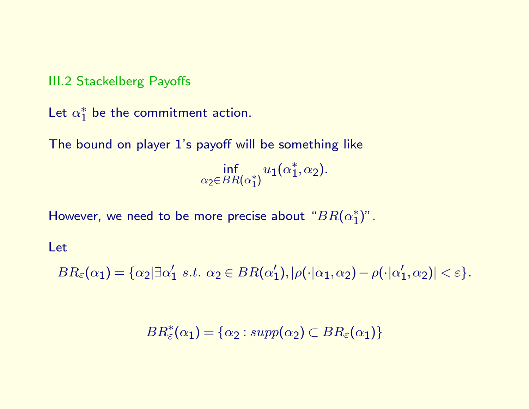III.2 Stackelberg Payoffs

Let  $\alpha_1^*$  $_1^*$  be the commitment action.

The bound on player 1's payoff will be something like

inf  $\alpha$ 2∈ $BR(\alpha_1^*$  $_{1}^{\ast})$  $u_1(\alpha_1^*$  $_1^*,\alpha_2).$ 

However, we need to be more precise about " $BR(\alpha_1^*)$  $_{1}^{\ast})^{\prime\prime}$  .

Let

 $BR_\varepsilon(\alpha_1) = \{\alpha_2 | \exists \alpha'_1$  $\zeta_1'$  s.t.  $\alpha_2 \in BR(\alpha_1')$  $\alpha_1'),|\rho(\cdot|\alpha_1,\alpha_2)-\rho(\cdot|\alpha_1')$  $\vert'_1,\alpha_2)\vert <\varepsilon\}.$ 

 $BR^*_{\varepsilon}(\alpha_1) = {\alpha_2 : supp(\alpha_2) \subset BR_{\varepsilon}(\alpha_1)}$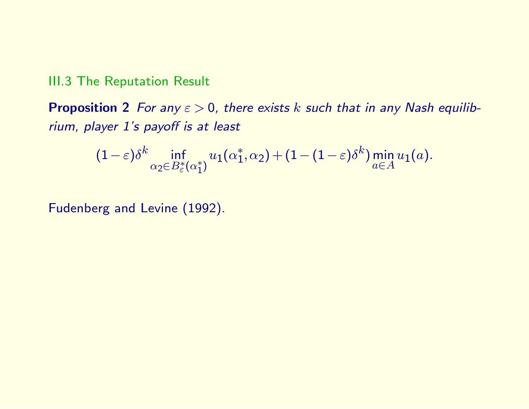### III.3 The Reputation Result

**Proposition 2** For any  $\varepsilon > 0$ , there exists k such that in any Nash equilibrium, player 1's payoff is at least

$$
(1-\varepsilon)\delta^{k}\inf_{\alpha_{2}\in B_{\varepsilon}^{*}(\alpha_{1}^{*})}u_{1}(\alpha_{1}^{*},\alpha_{2})+(1-(1-\varepsilon)\delta^{k})\min_{a\in A}u_{1}(a).
$$

Fudenberg and Levine (1992).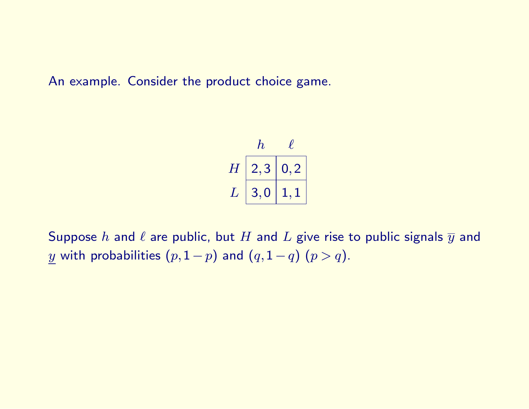An example. Consider the product choice game.

$$
\begin{array}{c|cc} & h & \ell \\ \hline H & 2,3 & 0,2 \\ L & 3,0 & 1,1 \end{array}
$$

Suppose  $h$  and  $\ell$  are public, but  $H$  and  $L$  give rise to public signals  $\overline{y}$  and y with probabilities  $(p,1-p)$  and  $(q,1-q)$   $(p > q)$ .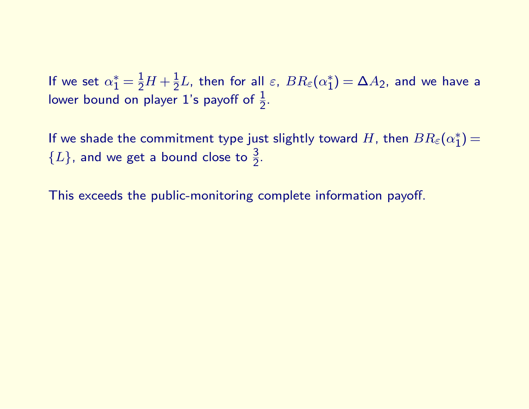If we set  $\alpha_1^* = \frac{1}{2}H + \frac{1}{2}L$ , then for all  $\varepsilon$ ,  $BR_\varepsilon(\alpha_1^*)$  $\zeta_{1}^{*}$ )  $=$   $\Delta A_{2}$ , and we have a lower bound on player 1's payoff of  $\frac{1}{2}$ .

If we shade the commitment type just slightly toward  $H$ , then  $BR_\varepsilon(\alpha_1^\ast)$  $_{1}^{\ast}) =$  ${L}$ , and we get a bound close to  $\frac{3}{2}$ .

This exceeds the public-monitoring complete information payoff.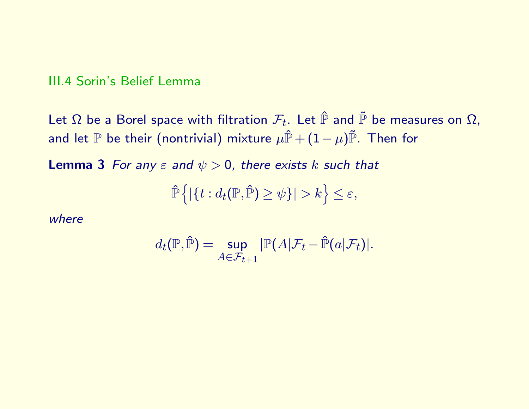### III.4 Sorin's Belief Lemma

Let  $\Omega$  be a Borel space with filtration  $\mathcal{F}_t$ . Let  $\hat{\mathbb{P}}$  and  $\tilde{\mathbb{P}}$  be measures on  $\Omega$ , and let  $\mathbb P$  be their (nontrivial) mixture  $\mu \hat{\mathbb P} + (1-\mu) \tilde{\mathbb P}$ . Then for

**Lemma 3** For any  $\varepsilon$  and  $\psi > 0$ , there exists k such that

$$
\hat{\mathbb{P}}\left\{|\{t: d_t(\mathbb{P}, \hat{\mathbb{P}})\geq \psi\}| > k\right\} \leq \varepsilon,
$$

where

$$
d_t(\mathbb{P}, \hat{\mathbb{P}}) = \sup_{A \in \mathcal{F}_{t+1}} |\mathbb{P}(A|\mathcal{F}_t - \hat{\mathbb{P}}(a|\mathcal{F}_t)|).
$$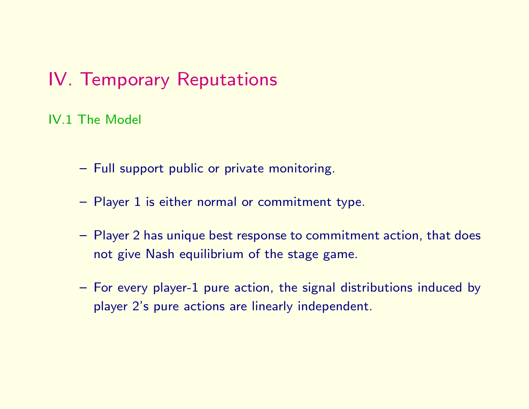## IV. Temporary Reputations

IV.1 The Model

- Full support public or private monitoring.
- Player 1 is either normal or commitment type.
- Player 2 has unique best response to commitment action, that does not give Nash equilibrium of the stage game.
- For every player-1 pure action, the signal distributions induced by player 2's pure actions are linearly independent.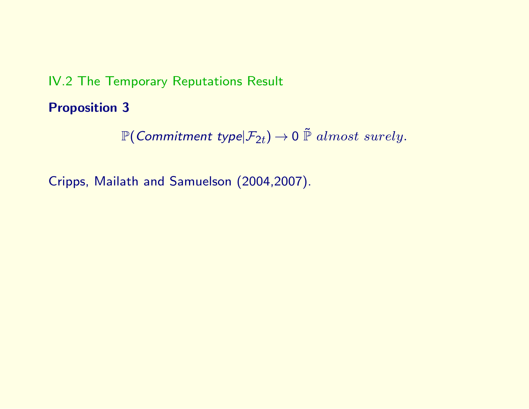## IV.2 The Temporary Reputations Result

Proposition 3

 $\mathbb{P}(\textit{Commitment type}|\mathcal{F}_{2t}) \to 0 \stackrel{\sim}{\mathbb{P}} almost surely.$ 

Cripps, Mailath and Samuelson (2004,2007).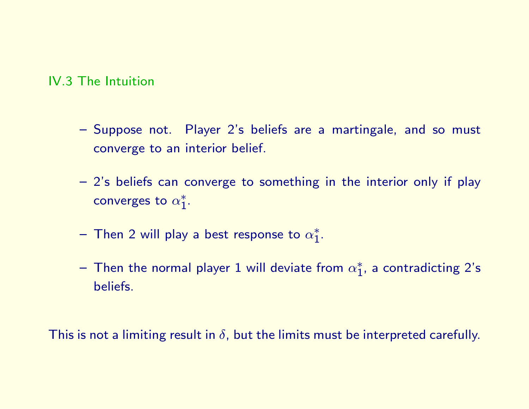### IV.3 The Intuition

- Suppose not. Player 2's beliefs are a martingale, and so must converge to an interior belief.
- 2's beliefs can converge to something in the interior only if play converges to  $\alpha_1^*$  $i^*$
- $-$  Then 2 will play a best response to  $\alpha_1^*$  $i^*$
- $-$  Then the normal player 1 will deviate from  $\alpha_1^*$  $_1^*$ , a contradicting 2's beliefs.

This is not a limiting result in  $\delta$ , but the limits must be interpreted carefully.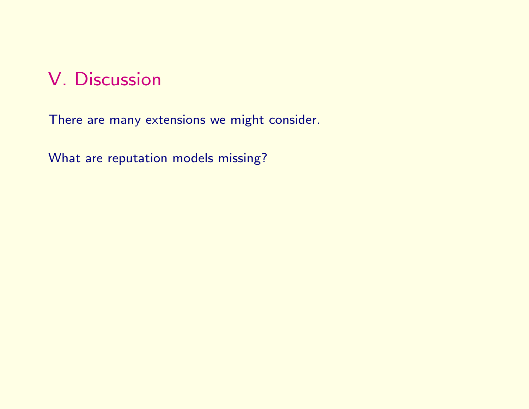## V. Discussion

There are many extensions we might consider.

What are reputation models missing?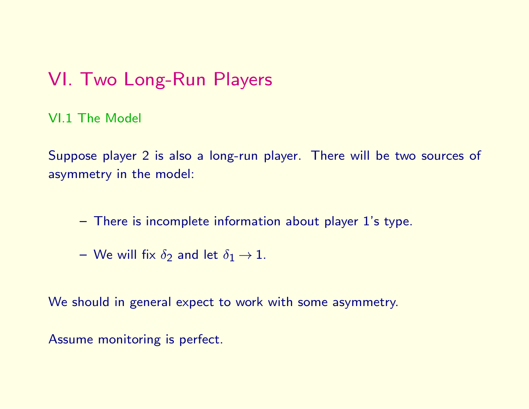## VI. Two Long-Run Players

VI.1 The Model

Suppose player 2 is also a long-run player. There will be two sources of asymmetry in the model:

- There is incomplete information about player 1's type.
- We will fix  $\delta_2$  and let  $\delta_1 \rightarrow 1$ .

We should in general expect to work with some asymmetry.

Assume monitoring is perfect.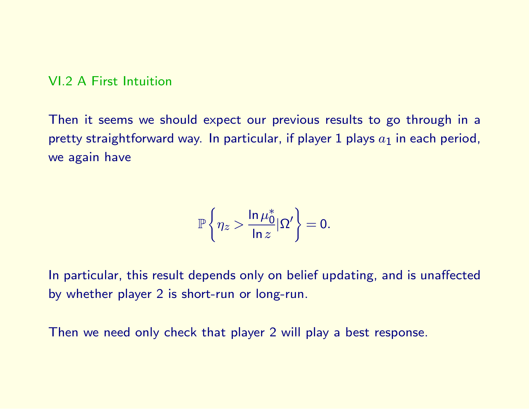#### VI.2 A First Intuition

Then it seems we should expect our previous results to go through in a pretty straightforward way. In particular, if player 1 plays  $a_1$  in each period, we again have

$$
\mathbb{P}\left\{\eta_z > \frac{\ln \mu_0^*}{\ln z}|\Omega'\right\} = 0.
$$

In particular, this result depends only on belief updating, and is unaffected by whether player 2 is short-run or long-run.

Then we need only check that player 2 will play a best response.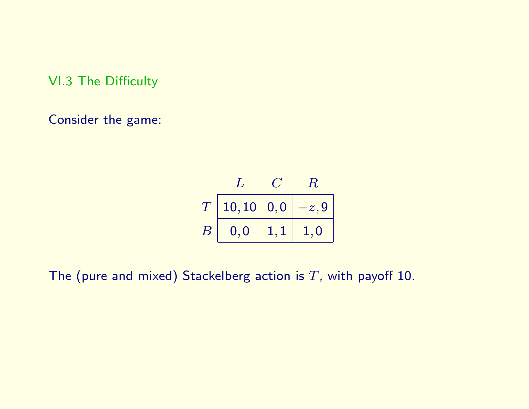VI.3 The Difficulty

Consider the game:

$$
\begin{array}{c|cc}\n & L & C & R \\
\hline\nT & 10,10 & 0,0 & -z,9 \\
\hline\nB & 0,0 & 1,1 & 1,0\n\end{array}
$$

The (pure and mixed) Stackelberg action is  $T$ , with payoff 10.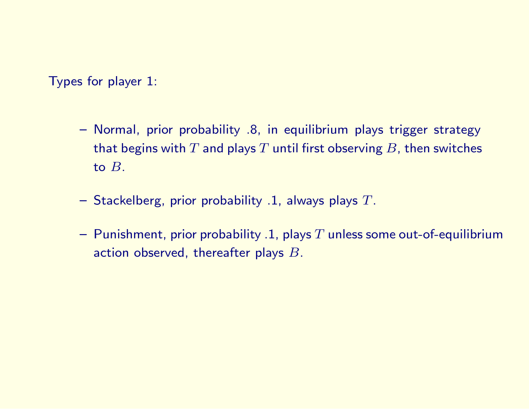Types for player 1:

- Normal, prior probability .8, in equilibrium plays trigger strategy that begins with  $T$  and plays  $T$  until first observing  $B$ , then switches to B.
- $-$  Stackelberg, prior probability .1, always plays  $T$ .
- Punishment, prior probability .1, plays  $T$  unless some out-of-equilibrium action observed, thereafter plays B.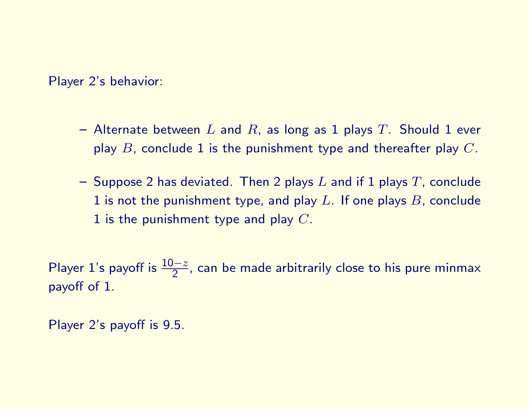Player 2's behavior:

- Alternate between L and R, as long as 1 plays T. Should 1 ever play  $B$ , conclude 1 is the punishment type and thereafter play  $C$ .
- Suppose 2 has deviated. Then 2 plays L and if 1 plays T, conclude 1 is not the punishment type, and play  $L$ . If one plays  $B$ , conclude 1 is the punishment type and play  $C$ .

Player 1's payoff is  $\frac{10-z}{2}$ , can be made arbitrarily close to his pure minmax payoff of 1.

Player 2's payoff is 9.5.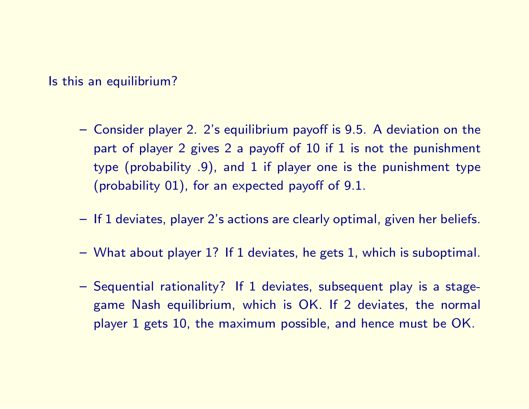Is this an equilibrium?

- Consider player 2. 2's equilibrium payoff is 9.5. A deviation on the part of player 2 gives 2 a payoff of 10 if 1 is not the punishment type (probability .9), and 1 if player one is the punishment type (probability 01), for an expected payoff of 9.1.
- If 1 deviates, player 2's actions are clearly optimal, given her beliefs.
- What about player 1? If 1 deviates, he gets 1, which is suboptimal.
- Sequential rationality? If 1 deviates, subsequent play is a stagegame Nash equilibrium, which is OK. If 2 deviates, the normal player 1 gets 10, the maximum possible, and hence must be OK.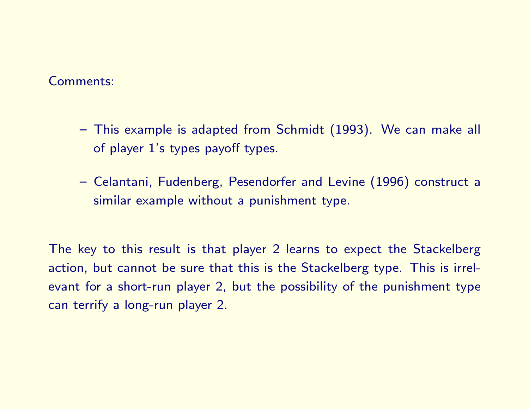#### Comments:

- This example is adapted from Schmidt (1993). We can make all of player 1's types payoff types.
- Celantani, Fudenberg, Pesendorfer and Levine (1996) construct a similar example without a punishment type.

The key to this result is that player 2 learns to expect the Stackelberg action, but cannot be sure that this is the Stackelberg type. This is irrelevant for a short-run player 2, but the possibility of the punishment type can terrify a long-run player 2.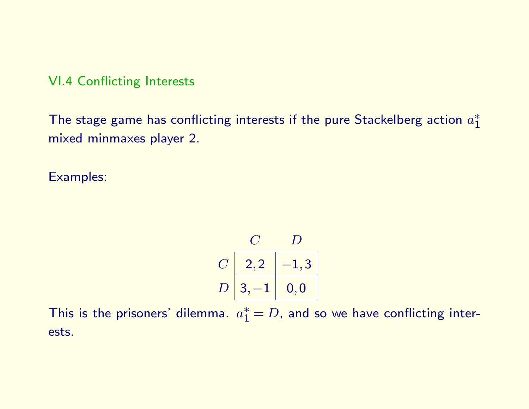VI.4 Conflicting Interests

The stage game has conflicting interests if the pure Stackelberg action  $a_1^*$ 1 mixed minmaxes player 2.

Examples:

 $C$  D  $C \left| \right. \left. 2,2 \right. \left. \left. \right| -1,3 \right.$  $D \hspace{.08cm} | \hspace{.08cm} 3, -1 \hspace{.08cm} | \hspace{.08cm} 0, 0$ 

This is the prisoners' dilemma.  $a_1^* = D$ , and so we have conflicting interests.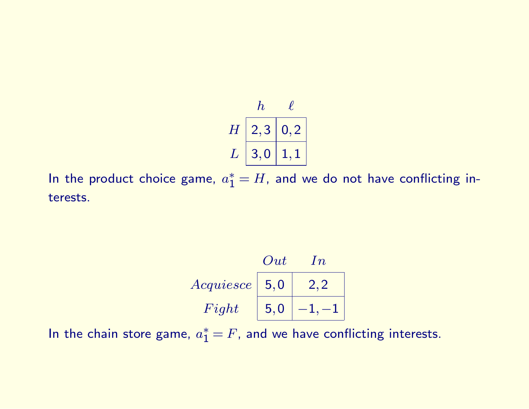$$
\begin{array}{c|cc}\n & h & \ell \\
\hline\nH & 2,3 & 0,2 \\
L & 3,0 & 1,1\n\end{array}
$$

In the product choice game,  $a_1^*=H$ , and we do not have conflicting interests.

| Out         | $In$          |         |
|-------------|---------------|---------|
| $Acauiesce$ | $\boxed{5,0}$ | $2,2$   |
| $Right$     | $\boxed{5,0}$ | $-1,-1$ |

In the chain store game,  $a_1^*=F$ , and we have conflicting interests.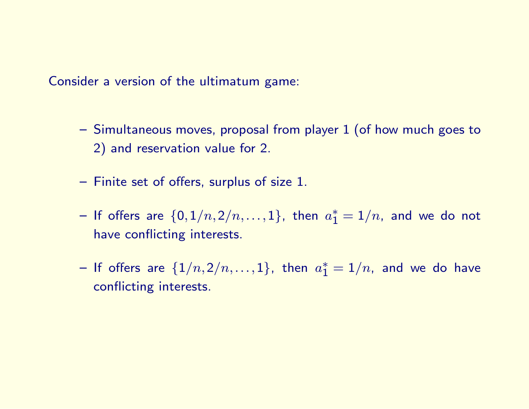Consider a version of the ultimatum game:

- Simultaneous moves, proposal from player 1 (of how much goes to 2) and reservation value for 2.
- Finite set of offers, surplus of size 1.
- $-$  If offers are  $\{0, 1/n, 2/n, \ldots, 1\}$ , then  $a^*_1 = 1/n$ , and we do not have conflicting interests.
- $-$  If offers are  $\{1/n,2/n,\ldots,1\}$ , then  $a_1^*=1/n$ , and we do have conflicting interests.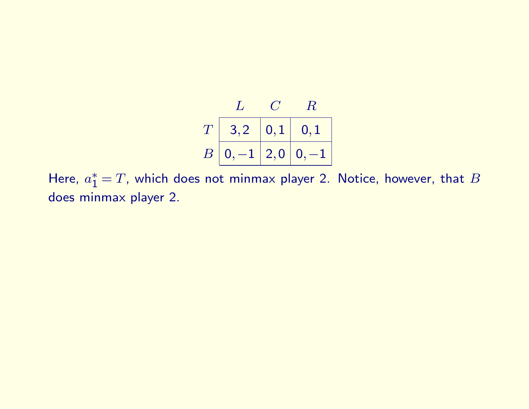

Here,  $a_1^* = T$ , which does not minmax player 2. Notice, however, that  $B$ does minmax player 2.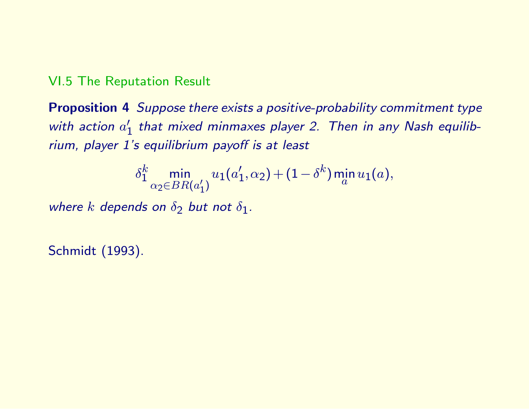## VI.5 The Reputation Result

Proposition 4 Suppose there exists a positive-probability commitment type with action  $a'_1$  $_1^{\prime}$  that mixed minmaxes player 2. Then in any Nash equilibrium, player 1's equilibrium payoff is at least

$$
\delta_1^k \min_{\alpha_2 \in BR(a'_1)} u_1(a'_1, \alpha_2) + (1 - \delta^k) \min_a u_1(a),
$$

where k depends on  $\delta_2$  but not  $\delta_1$ .

Schmidt (1993).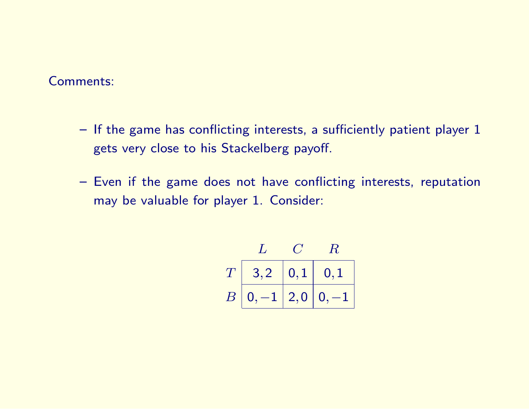#### Comments:

- If the game has conflicting interests, a sufficiently patient player 1 gets very close to his Stackelberg payoff.
- Even if the game does not have conflicting interests, reputation may be valuable for player 1. Consider:

$$
\begin{array}{c|cc}\n & C & R \\
\hline\nT & 3,2 & 0,1 & 0,1 \\
\hline\nB & 0, -1 & 2,0 & 0, -1\n\end{array}
$$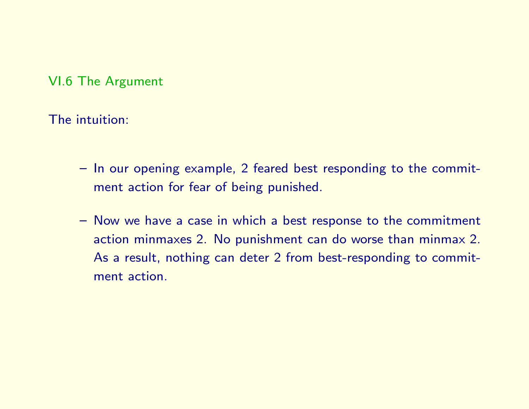VI.6 The Argument

The intuition:

- In our opening example, 2 feared best responding to the commitment action for fear of being punished.
- Now we have a case in which a best response to the commitment action minmaxes 2. No punishment can do worse than minmax 2. As a result, nothing can deter 2 from best-responding to commitment action.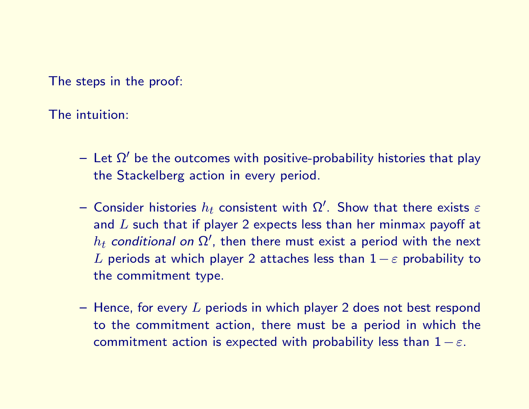The steps in the proof:

The intuition:

- $-$  Let  $\Omega'$  be the outcomes with positive-probability histories that play the Stackelberg action in every period.
- $-$  Consider histories  $h_t$  consistent with  $\Omega'.$  Show that there exists  $\varepsilon$ and  $L$  such that if player 2 expects less than her minmax payoff at  $h_t$  conditional on  $\Omega'$ , then there must exist a period with the next L periods at which player 2 attaches less than  $1 - \varepsilon$  probability to the commitment type.
- $-$  Hence, for every  $L$  periods in which player 2 does not best respond to the commitment action, there must be a period in which the commitment action is expected with probability less than  $1 - \varepsilon$ .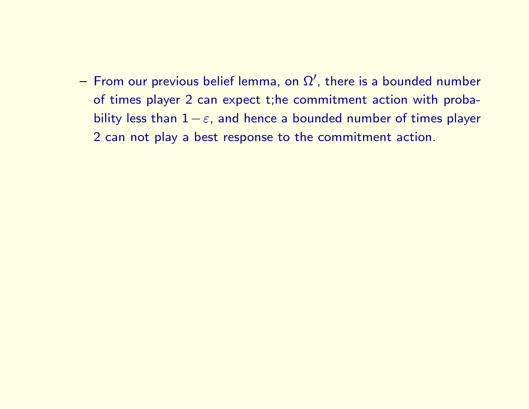$-$  From our previous belief lemma, on  $\Omega^{\prime}$ , there is a bounded number of times player 2 can expect t;he commitment action with probability less than  $1 - \varepsilon$ , and hence a bounded number of times player 2 can not play a best response to the commitment action.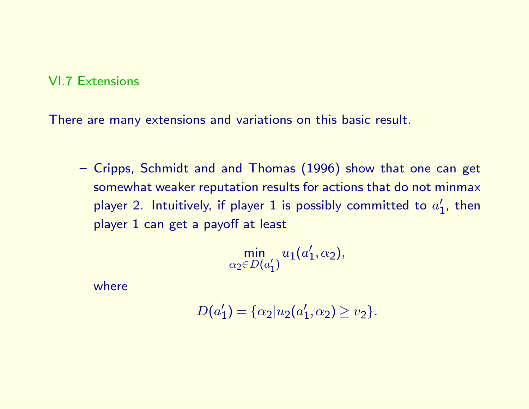### VI.7 Extensions

There are many extensions and variations on this basic result.

– Cripps, Schmidt and and Thomas (1996) show that one can get somewhat weaker reputation results for actions that do not minmax player 2. Intuitively, if player 1 is possibly committed to  $a_1^{\prime}$  $\frac{7}{1}$ , then player 1 can get a payoff at least

$$
\min_{\alpha_2 \in D(a_1')} u_1(a_1', \alpha_2),
$$

where

$$
D(a'_1) = {\alpha_2 | u_2(a'_1, \alpha_2) \geq u_2}.
$$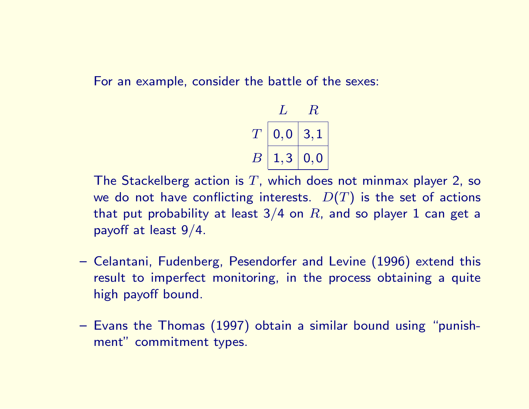For an example, consider the battle of the sexes:

$$
\begin{array}{c|c} L & R \\ \hline T & 0,0 & 3,1 \\ \hline B & 1,3 & 0,0 \\ \hline \end{array}
$$

The Stackelberg action is T, which does not minmax player 2, so we do not have conflicting interests.  $D(T)$  is the set of actions that put probability at least  $3/4$  on  $R$ , and so player 1 can get a payoff at least 9/4.

- Celantani, Fudenberg, Pesendorfer and Levine (1996) extend this result to imperfect monitoring, in the process obtaining a quite high payoff bound.
- Evans the Thomas (1997) obtain a similar bound using "punishment" commitment types.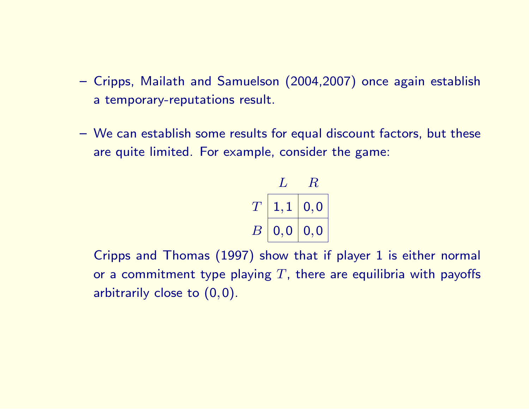- Cripps, Mailath and Samuelson (2004,2007) once again establish a temporary-reputations result.
- We can establish some results for equal discount factors, but these are quite limited. For example, consider the game:

$$
\begin{array}{c|c}L & R \\ \hline T & 1,1 & 0,0 \\ B & 0,0 & 0,0 \end{array}
$$

Cripps and Thomas (1997) show that if player 1 is either normal or a commitment type playing  $T$ , there are equilibria with payoffs arbitrarily close to (0,0).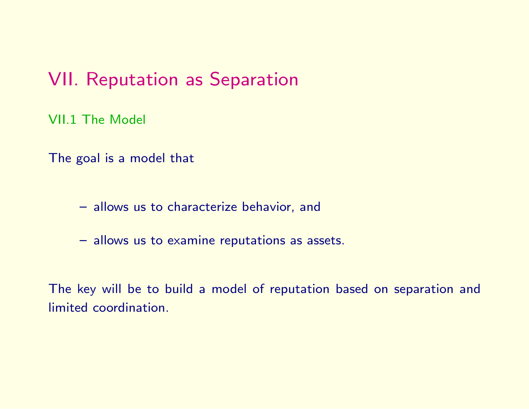## VII. Reputation as Separation

VII.1 The Model

The goal is a model that

- allows us to characterize behavior, and
- allows us to examine reputations as assets.

The key will be to build a model of reputation based on separation and limited coordination.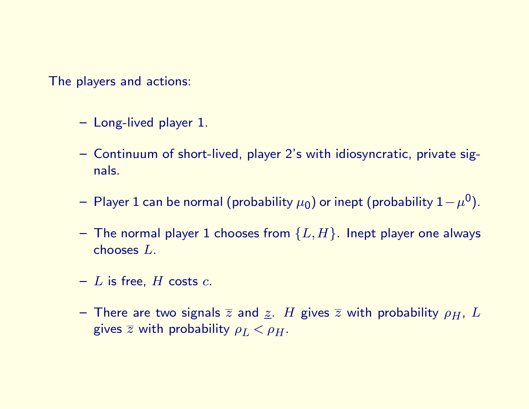The players and actions:

- Long-lived player 1.
- Continuum of short-lived, player 2's with idiosyncratic, private signals.
- $-$  Player 1 can be normal (probability  $\mu_0$ ) or inept (probability  $1-\mu^0).$
- The normal player 1 chooses from  $\{L,H\}$ . Inept player one always chooses L.
- $-$  L is free, H costs  $c$ .
- There are two signals  $\overline{z}$  and  $\underline{z}$ . H gives  $\overline{z}$  with probability  $\rho_H$ , L gives  $\overline{z}$  with probability  $\rho_L < \rho_H$ .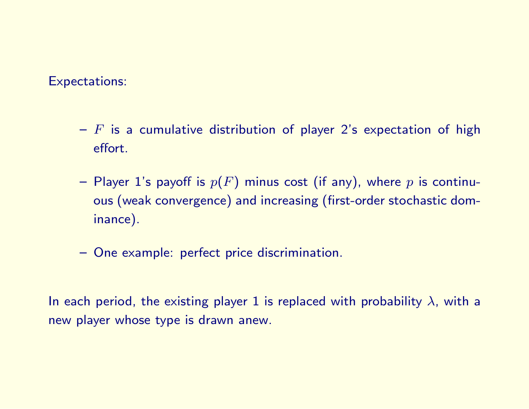#### Expectations:

- $-$  F is a cumulative distribution of player 2's expectation of high effort.
- Player 1's payoff is  $p(F)$  minus cost (if any), where p is continuous (weak convergence) and increasing (first-order stochastic dominance).
- One example: perfect price discrimination.

In each period, the existing player 1 is replaced with probability  $\lambda$ , with a new player whose type is drawn anew.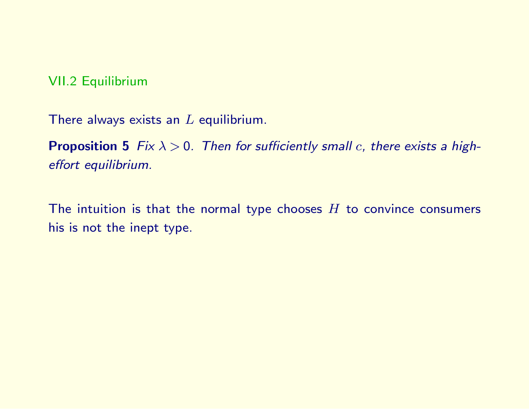VII.2 Equilibrium

There always exists an  $L$  equilibrium.

**Proposition 5** Fix  $\lambda > 0$ . Then for sufficiently small c, there exists a higheffort equilibrium.

The intuition is that the normal type chooses  $H$  to convince consumers his is not the inept type.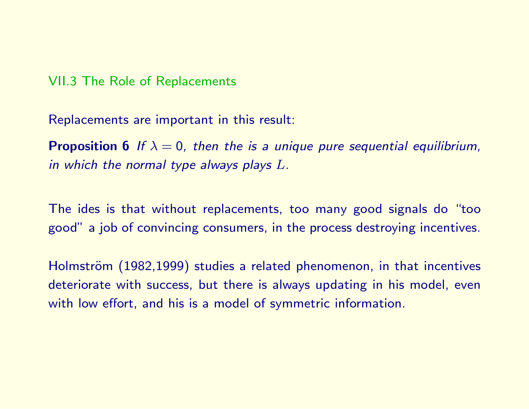#### VII.3 The Role of Replacements

Replacements are important in this result:

**Proposition 6** If  $\lambda = 0$ , then the is a unique pure sequential equilibrium, in which the normal type always plays L.

The ides is that without replacements, too many good signals do "too good" a job of convincing consumers, in the process destroying incentives.

Holmström (1982,1999) studies a related phenomenon, in that incentives deteriorate with success, but there is always updating in his model, even with low effort, and his is a model of symmetric information.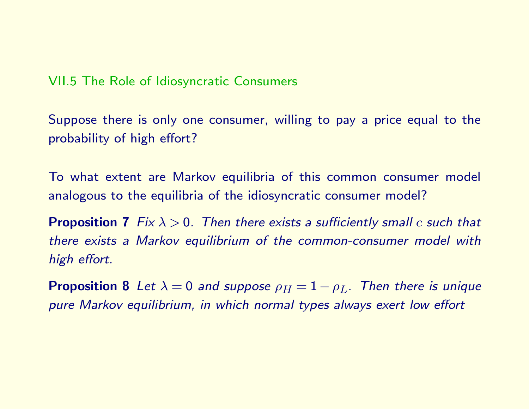VII.5 The Role of Idiosyncratic Consumers

Suppose there is only one consumer, willing to pay a price equal to the probability of high effort?

To what extent are Markov equilibria of this common consumer model analogous to the equilibria of the idiosyncratic consumer model?

**Proposition 7** Fix  $\lambda > 0$ . Then there exists a sufficiently small c such that there exists a Markov equilibrium of the common-consumer model with high effort.

**Proposition 8** Let  $\lambda = 0$  and suppose  $\rho_H = 1 - \rho_L$ . Then there is unique pure Markov equilibrium, in which normal types always exert low effort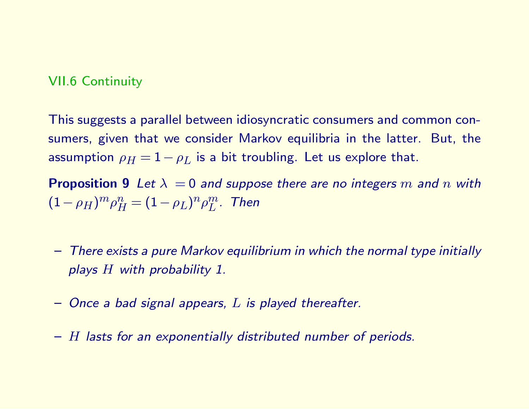### VII.6 Continuity

This suggests a parallel between idiosyncratic consumers and common consumers, given that we consider Markov equilibria in the latter. But, the assumption  $\rho_H = 1 - \rho_L$  is a bit troubling. Let us explore that.

**Proposition 9** Let  $\lambda = 0$  and suppose there are no integers m and n with  $(1-\rho_H)^m\rho_H^n=(1-\rho_L)^n\rho_L^m.$  Then

- There exists a pure Markov equilibrium in which the normal type initially plays H with probability 1.
- $-$  Once a bad signal appears,  $L$  is played thereafter.
- H lasts for an exponentially distributed number of periods.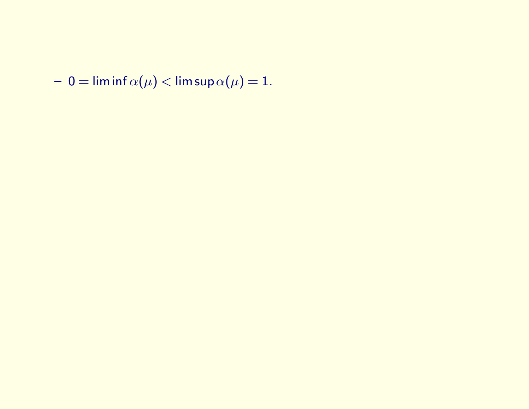$- 0 = \liminf \alpha(\mu) < \limsup \alpha(\mu) = 1.$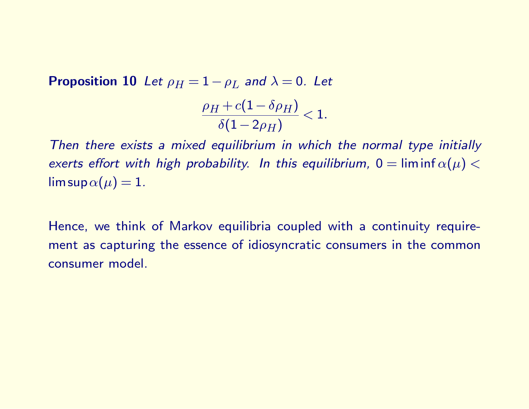**Proposition 10** Let  $\rho_H = 1 - \rho_L$  and  $\lambda = 0$ . Let

$$
\frac{\rho_H + c(1-\delta \rho_H)}{\delta (1-2\rho_H)} < 1.
$$

Then there exists a mixed equilibrium in which the normal type initially exerts effort with high probability. In this equilibrium,  $0 = \liminf \alpha(\mu) <$  $\limsup \alpha(\mu) = 1.$ 

Hence, we think of Markov equilibria coupled with a continuity requirement as capturing the essence of idiosyncratic consumers in the common consumer model.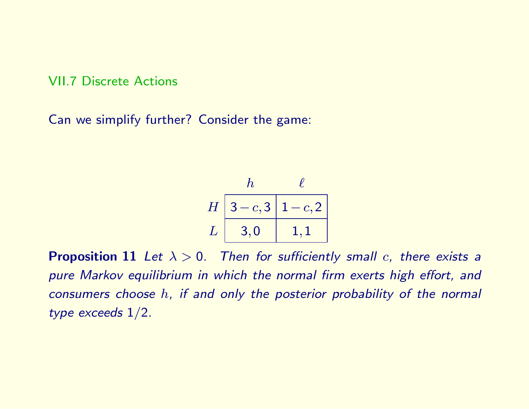#### VII.7 Discrete Actions

Can we simplify further? Consider the game:

$$
\begin{array}{c|cc} & h & \ell \\ \hline H & 3-c,3 & 1-c,2 \\ L & 3,0 & 1,1 \end{array}
$$

**Proposition 11** Let  $\lambda > 0$ . Then for sufficiently small c, there exists a pure Markov equilibrium in which the normal firm exerts high effort, and consumers choose h, if and only the posterior probability of the normal type exceeds 1/2.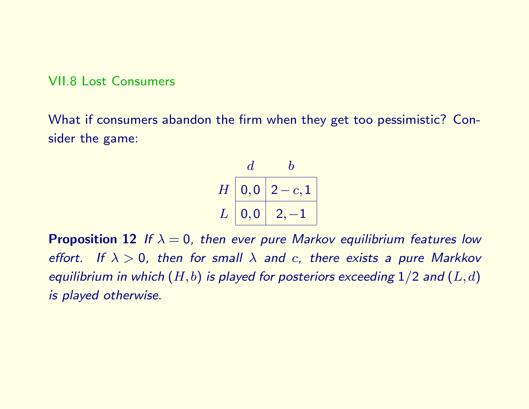#### VII.8 Lost Consumers

What if consumers abandon the firm when they get too pessimistic? Consider the game:

$$
\begin{array}{c|c}\n d & b \\
\hline\nH \boxed{0,0} & 2-c,1 \\
L \boxed{0,0} & 2,-1\n\end{array}
$$

**Proposition 12** If  $\lambda = 0$ , then ever pure Markov equilibrium features low effort. If  $\lambda > 0$ , then for small  $\lambda$  and c, there exists a pure Markkov equilibrium in which  $(H, b)$  is played for posteriors exceeding  $1/2$  and  $(L, d)$ is played otherwise.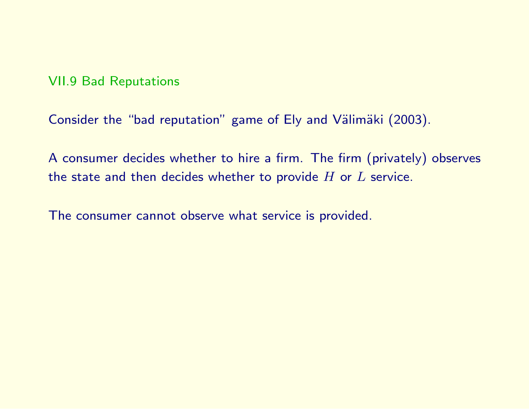## VII.9 Bad Reputations

Consider the "bad reputation" game of Ely and Välimäki (2003).

A consumer decides whether to hire a firm. The firm (privately) observes the state and then decides whether to provide  $H$  or  $L$  service.

The consumer cannot observe what service is provided.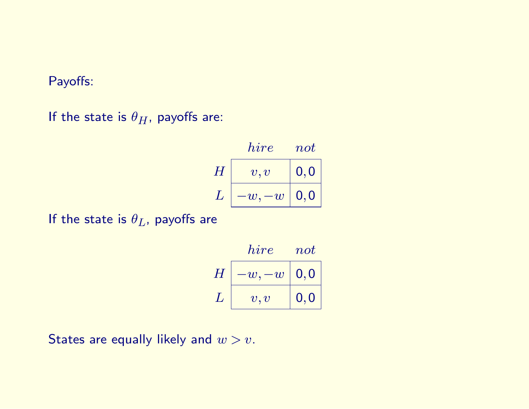## Payoffs:

If the state is  $\theta_H$ , payoffs are:

$$
H\begin{array}{|l|} hire & not\\ \hline v,v&{\bf 0},{\bf 0}\\ L&-w,-w&{\bf 0},{\bf 0}\\ \hline \end{array}
$$

If the state is  $\theta_L$ , payoffs are

$$
H\begin{array}{|l|} hire & not\\ \hline -w,-w&\textbf{0},\textbf{0}\\ L&v,v&\textbf{0},\textbf{0}\\ \hline \end{array}
$$

States are equally likely and  $w > v$ .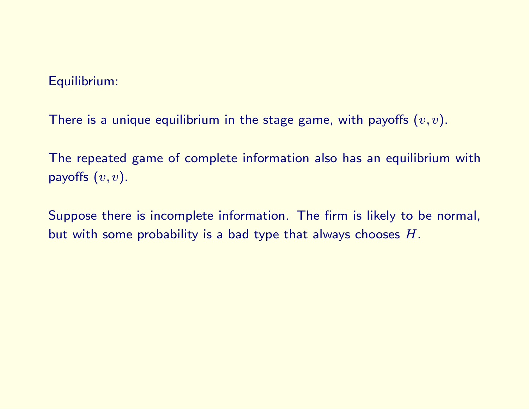### Equilibrium:

There is a unique equilibrium in the stage game, with payoffs  $(v, v)$ .

The repeated game of complete information also has an equilibrium with payoffs  $(v, v)$ .

Suppose there is incomplete information. The firm is likely to be normal, but with some probability is a bad type that always chooses  $H$ .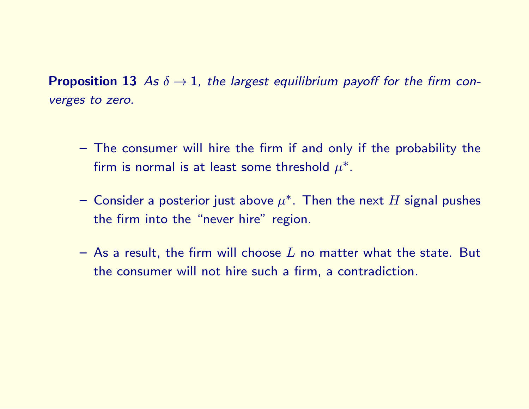**Proposition 13** As  $\delta \rightarrow 1$ , the largest equilibrium payoff for the firm converges to zero.

- The consumer will hire the firm if and only if the probability the firm is normal is at least some threshold  $\mu^*.$
- $-$  Consider a posterior just above  $\mu^*$ . Then the next  $H$  signal pushes the firm into the "never hire" region.
- As a result, the firm will choose  $L$  no matter what the state. But the consumer will not hire such a firm, a contradiction.